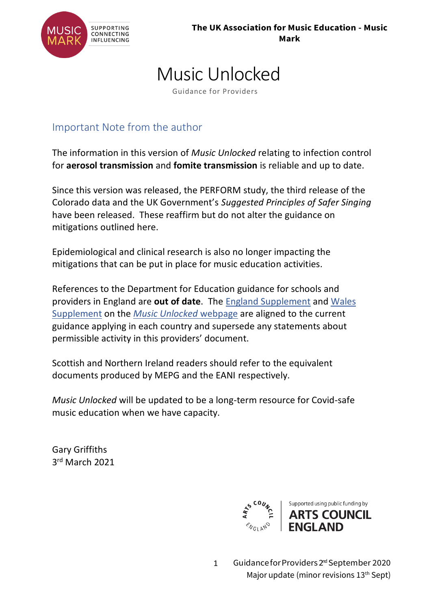

## Music Unlocked

Guidance for Providers

### Important Note from the author

The information in this version of *Music Unlocked* relating to infection control for **aerosol transmission** and **fomite transmission** is reliable and up to date.

Since this version was released, the PERFORM study, the third release of the Colorado data and the UK Government's *Suggested Principles of Safer Singing* have been released. These reaffirm but do not alter the guidance on mitigations outlined here.

Epidemiological and clinical research is also no longer impacting the mitigations that can be put in place for music education activities.

References to the Department for Education guidance for schools and providers in England are **out of date**. The [England Supplement](https://www.musicmark.org.uk/wp-content/uploads/England-Supplement-24Feb21.pdf) and [Wales](https://www.musicmark.org.uk/wp-content/uploads/Wales-Supplement-24Feb21.pdf)  [Supplement](https://www.musicmark.org.uk/wp-content/uploads/Wales-Supplement-24Feb21.pdf) on the *[Music Unlocked](https://www.musicmark.org.uk/resources/music-unlocked-guidance-for-schools-and-music-providers/)* webpage are aligned to the current guidance applying in each country and supersede any statements about permissible activity in this providers' document.

Scottish and Northern Ireland readers should refer to the equivalent documents produced by MEPG and the EANI respectively.

*Music Unlocked* will be updated to be a long-term resource for Covid-safe music education when we have capacity.

Gary Griffiths 3 rd March 2021



1 Guidance for Providers 2<sup>nd</sup> September 2020 Major update (minor revisions 13<sup>th</sup> Sept)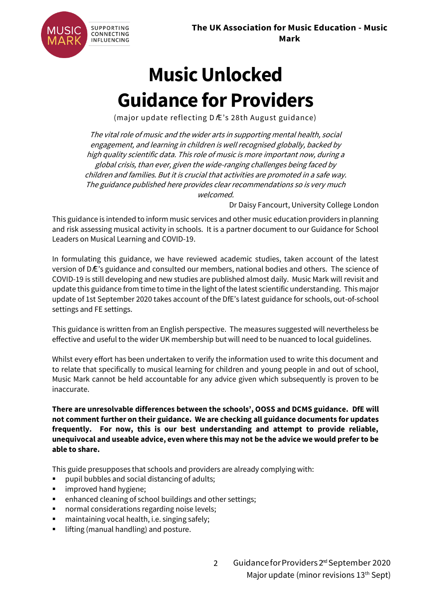

# **Music Unlocked Guidance for Providers**

(major update reflecting D Æ's 28th August guidance)

The vital role of music and the wider arts in supporting mental health, social engagement, and learning in children is well recognised globally, backed by high quality scientific data. This role of music is more important now, during a global crisis, than ever, given the wide-ranging challenges being faced by children and families. But it is crucial that activities are promoted in a safe way. The guidance published here provides clear recommendations so is very much welcomed.

Dr Daisy Fancourt, University College London

This guidance is intended to inform music services and other music education providers in planning and risk assessing musical activity in schools. It is a partner document to our Guidance for School Leaders on Musical Learning and COVID-19.

In formulating this guidance, we have reviewed academic studies, taken account of the latest version of DfE's guidance and consulted our members, national bodies and others. The science of COVID-19 is still developing and new studies are published almost daily. Music Mark will revisit and update this guidance from time to time in the light of the latest scientific understanding. This major update of 1st September 2020 takes account of the DfE's latest guidance for schools, out-of-school settings and FE settings.

This guidance is written from an English perspective. The measures suggested will nevertheless be effective and useful to the wider UK membership but will need to be nuanced to local guidelines.

Whilst every effort has been undertaken to verify the information used to write this document and to relate that specifically to musical learning for children and young people in and out of school, Music Mark cannot be held accountable for any advice given which subsequently is proven to be inaccurate.

**There are unresolvable differences between the schools', OOSS and DCMS guidance. DfE will not comment further on their guidance. We are checking all guidance documents for updates frequently. For now, this is our best understanding and attempt to provide reliable, unequivocal and useable advice, even where this may not be the advice we would prefer to be able to share.**

This guide presupposes that schools and providers are already complying with:

- pupil bubbles and social distancing of adults;
- improved hand hygiene;
- enhanced cleaning of school buildings and other settings;
- normal considerations regarding noise levels;
- maintaining vocal health, i.e. singing safely;
- lifting (manual handling) and posture.

2 Guidance for Providers 2<sup>nd</sup> September 2020 Major update (minor revisions 13<sup>th</sup> Sept)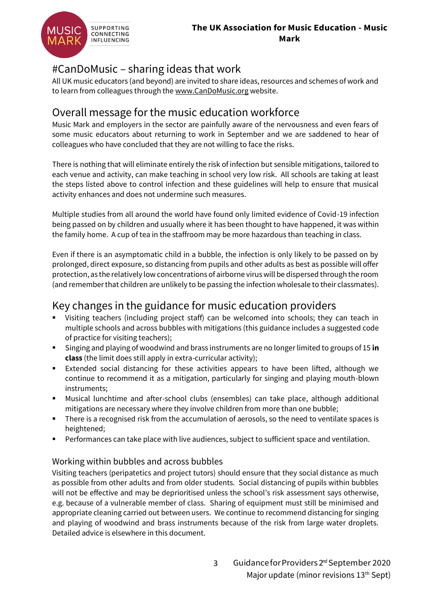

### #CanDoMusic – sharing ideas that work

All UK music educators (and beyond) are invited to share ideas, resources and schemes of work and to learn from colleagues through the [www.CanDoMusic.org](http://www.candomusic.org/) website.

### Overall message for the music education workforce

Music Mark and employers in the sector are painfully aware of the nervousness and even fears of some music educators about returning to work in September and we are saddened to hear of colleagues who have concluded that they are not willing to face the risks.

There is nothing that will eliminate entirely the risk of infection but sensible mitigations, tailored to each venue and activity, can make teaching in school very low risk. All schools are taking at least the steps listed above to control infection and these guidelines will help to ensure that musical activity enhances and does not undermine such measures.

Multiple studies from all around the world have found only limited evidence of Covid-19 infection being passed on by children and usually where it has been thought to have happened, it was within the family home. A cup of tea in the staffroom may be more hazardous than teaching in class.

Even if there is an asymptomatic child in a bubble, the infection is only likely to be passed on by prolonged, direct exposure, so distancing from pupils and other adults as best as possible will offer protection, as the relatively low concentrations of airborne virus will be dispersed through the room (and remember that children are unlikely to be passing the infection wholesale to their classmates).

### Key changes in the guidance for music education providers

- Visiting teachers (including project staff) can be welcomed into schools; they can teach in multiple schools and across bubbles with mitigations (this guidance includes a suggested code of practice for visiting teachers);
- Singing and playing of woodwind and brass instruments are no longer limited to groups of 15 **in class** (the limit does still apply in extra-curricular activity);
- Extended social distancing for these activities appears to have been lifted, although we continue to recommend it as a mitigation, particularly for singing and playing mouth-blown instruments;
- Musical lunchtime and after-school clubs (ensembles) can take place, although additional mitigations are necessary where they involve children from more than one bubble;
- **•** There is a recognised risk from the accumulation of aerosols, so the need to ventilate spaces is heightened;
- Performances can take place with live audiences, subject to sufficient space and ventilation.

#### Working within bubbles and across bubbles

Visiting teachers (peripatetics and project tutors) should ensure that they social distance as much as possible from other adults and from older students. Social distancing of pupils within bubbles will not be effective and may be deprioritised unless the school's risk assessment says otherwise, e.g. because of a vulnerable member of class. Sharing of equipment must still be minimised and appropriate cleaning carried out between users. We continue to recommend distancing for singing and playing of woodwind and brass instruments because of the risk from large water droplets. Detailed advice is elsewhere in this document.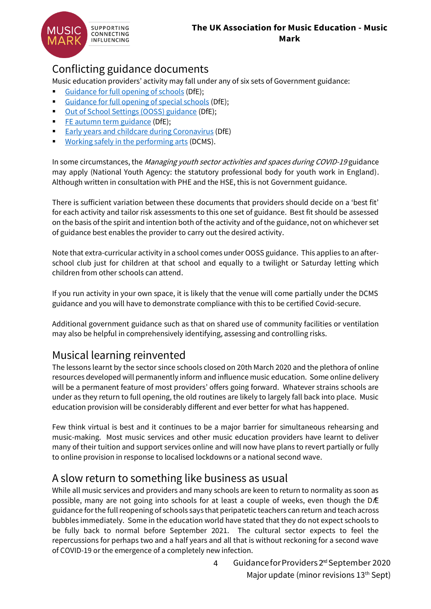

### Conflicting guidance documents

Music education providers' activity may fall under any of six sets of Government guidance:

- [Guidance for full opening of schools](https://www.gov.uk/government/publications/actions-for-schools-during-the-coronavirus-outbreak/guidance-for-full-opening-schools) (DfE);
- [Guidance for full opening of special schools](https://www.gov.uk/government/publications/guidance-for-full-opening-special-schools-and-other-specialist-settings/guidance-for-full-opening-special-schools-and-other-specialist-settings) (DfE);
- [Out of School Settings \(OOSS\) guidance](https://www.gov.uk/government/publications/protective-measures-for-holiday-or-after-school-clubs-and-other-out-of-school-settings-for-children-during-the-coronavirus-covid-19-outbreak/protective-measures-for-out-of-school-settings-during-the-coronavirus-covid-19-outbreak) (DfE);
- [FE autumn term guidance](https://www.gov.uk/government/publications/coronavirus-covid-19-maintaining-further-education-provision/what-fe-colleges-and-providers-will-need-to-do-from-the-start-of-the-2020-autumn-term) (DfE);
- [Early years and childcare during Coronavirus](https://www.gov.uk/government/publications/coronavirus-covid-19-early-years-and-childcare-closures/coronavirus-covid-19-early-years-and-childcare-closures) (DfE)
- [Working safely in the performing arts](https://www.gov.uk/guidance/working-safely-during-coronavirus-covid-19/performing-arts) (DCMS).

In some circumstances, the Managing youth sector activities and spaces during COVID-19 guidance may apply (National Youth Agency: the statutory professional body for youth work in England). Although written in consultation with PHE and the HSE, this is not Government guidance.

There is sufficient variation between these documents that providers should decide on a 'best fit' for each activity and tailor risk assessments to this one set of guidance. Best fit should be assessed on the basis of the spirit and intention both of the activity and of the guidance, not on whichever set of guidance best enables the provider to carry out the desired activity.

Note that extra-curricular activity in a school comes under OOSS guidance. This applies to an afterschool club just for children at that school and equally to a twilight or Saturday letting which children from other schools can attend.

If you run activity in your own space, it is likely that the venue will come partially under the DCMS guidance and you will have to demonstrate compliance with this to be certified Covid-secure.

Additional government guidance such as that on shared use of community facilities or ventilation may also be helpful in comprehensively identifying, assessing and controlling risks.

### Musical learning reinvented

The lessons learnt by the sector since schools closed on 20th March 2020 and the plethora of online resources developed will permanently inform and influence music education. Some online delivery will be a permanent feature of most providers' offers going forward. Whatever strains schools are under as they return to full opening, the old routines are likely to largely fall back into place. Music education provision will be considerably different and ever better for what has happened.

Few think virtual is best and it continues to be a major barrier for simultaneous rehearsing and music-making. Most music services and other music education providers have learnt to deliver many of their tuition and support services online and will now have plans to revert partially or fully to online provision in response to localised lockdowns or a national second wave.

### A slow return to something like business as usual

While all music services and providers and many schools are keen to return to normality as soon as possible, many are not going into schools for at least a couple of weeks, even though the DÆ guidance for the full reopening of schools says that peripatetic teachers can return and teach across bubbles immediately. Some in the education world have stated that they do not expect schools to be fully back to normal before September 2021. The cultural sector expects to feel the repercussions for perhaps two and a half years and all that is without reckoning for a second wave of COVID-19 or the emergence of a completely new infection.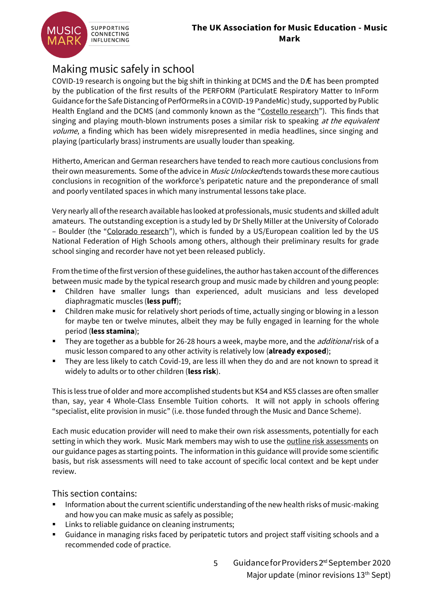

### Making music safely in school

COVID-19 research is ongoing but the big shift in thinking at DCMS and the DfE has been prompted by the publication of the first results of the PERFORM (ParticulatE Respiratory Matter to InForm Guidance for the Safe Distancing of PerfOrmeRs in a COVID-19 PandeMic) study, supported by Public Health England and the DCMS (and commonly known as the "[Costello research](https://chemrxiv.org/articles/preprint/Comparing_the_Respirable_Aerosol_Concentrations_and_Particle_Size_Distributions_Generated_by_Singing_Speaking_and_Breathing/12789221)"). This finds that singing and playing mouth-blown instruments poses a similar risk to speaking at the equivalent volume, a finding which has been widely misrepresented in media headlines, since singing and playing (particularly brass) instruments are usually louder than speaking.

Hitherto, American and German researchers have tended to reach more cautious conclusions from their own measurements. Some of the advice in *Music Unlocked* tends towards these more cautious conclusions in recognition of the workforce's peripatetic nature and the preponderance of small and poorly ventilated spaces in which many instrumental lessons take place.

Very nearly all of the research available has looked at professionals, music students and skilled adult amateurs. The outstanding exception is a study led by Dr Shelly Miller at the University of Colorado – Boulder (the "[Colorado research](https://www.nfhs.org/articles/unprecedented-international-coalition-led-by-performing-arts-organizations-to-commission-covid-19-study/)"), which is funded by a US/European coalition led by the US National Federation of High Schools among others, although their preliminary results for grade school singing and recorder have not yet been released publicly.

From the time of the first version of these guidelines, the author has taken account of the differences between music made by the typical research group and music made by children and young people:

- Children have smaller lungs than experienced, adult musicians and less developed diaphragmatic muscles (**less puff**);
- **•** Children make music for relatively short periods of time, actually singing or blowing in a lesson for maybe ten or twelve minutes, albeit they may be fully engaged in learning for the whole period (**less stamina**);
- **They are together as a bubble for 26-28 hours a week, maybe more, and the** *additional* **risk of a** music lesson compared to any other activity is relatively low (**already exposed**);
- They are less likely to catch Covid-19, are less ill when they do and are not known to spread it widely to adults or to other children (**less risk**).

This is less true of older and more accomplished students but KS4 and KS5 classes are often smaller than, say, year 4 Whole-Class Ensemble Tuition cohorts. It will not apply in schools offering "specialist, elite provision in music" (i.e. those funded through the Music and Dance Scheme).

Each music education provider will need to make their own risk assessments, potentially for each setting in which they work. Music Mark members may wish to use the [outline risk assessments](https://www.musicmark.org.uk/resources/risk-assessment-templates-music-unlocked/) on our guidance pages as starting points. The information in this guidance will provide some scientific basis, but risk assessments will need to take account of specific local context and be kept under review.

#### This section contains:

- Information about the current scientific understanding of the new health risks of music-making and how you can make music as safely as possible;
- Links to reliable guidance on cleaning instruments;
- Guidance in managing risks faced by peripatetic tutors and project staff visiting schools and a recommended code of practice.
	- 5 Guidance for Providers 2<sup>nd</sup> September 2020 Major update (minor revisions 13<sup>th</sup> Sept)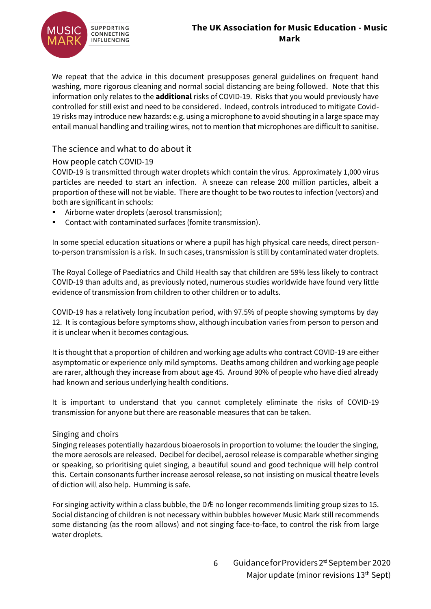

We repeat that the advice in this document presupposes general guidelines on frequent hand washing, more rigorous cleaning and normal social distancing are being followed. Note that this information only relates to the **additional** risks of COVID-19. Risks that you would previously have controlled for still exist and need to be considered. Indeed, controls introduced to mitigate Covid-19 risks may introduce new hazards: e.g. using a microphone to avoid shouting in a large space may entail manual handling and trailing wires, not to mention that microphones are difficult to sanitise.

#### The science and what to do about it

#### How people catch COVID-19

COVID-19 is transmitted through water droplets which contain the virus. Approximately 1,000 virus particles are needed to start an infection. A sneeze can release 200 million particles, albeit a proportion of these will not be viable. There are thought to be two routes to infection (vectors) and both are significant in schools:

- Airborne water droplets (aerosol transmission);
- Contact with contaminated surfaces (fomite transmission).

In some special education situations or where a pupil has high physical care needs, direct personto-person transmission is a risk. In such cases, transmission is still by contaminated water droplets.

The Royal College of Paediatrics and Child Health say that children are 59% less likely to contract COVID-19 than adults and, as previously noted, numerous studies worldwide have found very little evidence of transmission from children to other children or to adults.

COVID-19 has a relatively long incubation period, with 97.5% of people showing symptoms by day 12. It is contagious before symptoms show, although incubation varies from person to person and it is unclear when it becomes contagious.

It is thought that a proportion of children and working age adults who contract COVID-19 are either asymptomatic or experience only mild symptoms. Deaths among children and working age people are rarer, although they increase from about age 45. Around 90% of people who have died already had known and serious underlying health conditions.

It is important to understand that you cannot completely eliminate the risks of COVID-19 transmission for anyone but there are reasonable measures that can be taken.

#### Singing and choirs

Singing releases potentially hazardous bioaerosols in proportion to volume: the louder the singing, the more aerosols are released. Decibel for decibel, aerosol release is comparable whether singing or speaking, so prioritising quiet singing, a beautiful sound and good technique will help control this. Certain consonants further increase aerosol release, so not insisting on musical theatre levels of diction will also help. Humming is safe.

For singing activity within a class bubble, the D E no longer recommends limiting group sizes to 15. Social distancing of children is not necessary within bubbles however Music Mark still recommends some distancing (as the room allows) and not singing face-to-face, to control the risk from large water droplets.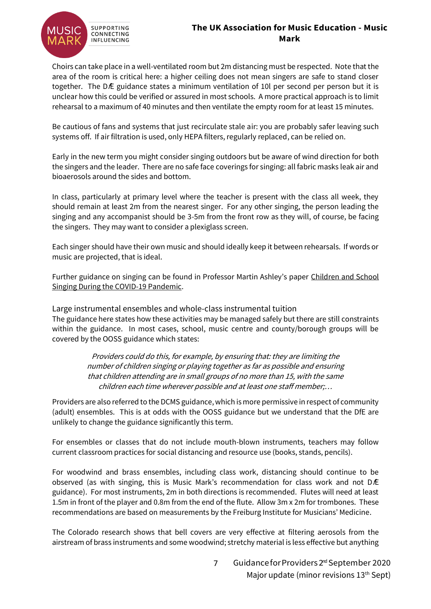

Choirs can take place in a well-ventilated room but 2m distancing must be respected. Note that the area of the room is critical here: a higher ceiling does not mean singers are safe to stand closer together. The DE guidance states a minimum ventilation of 10l per second per person but it is unclear how this could be verified or assured in most schools. A more practical approach is to limit rehearsal to a maximum of 40 minutes and then ventilate the empty room for at least 15 minutes.

Be cautious of fans and systems that just recirculate stale air: you are probably safer leaving such systems off. If air filtration is used, only HEPA filters, regularly replaced, can be relied on.

Early in the new term you might consider singing outdoors but be aware of wind direction for both the singers and the leader. There are no safe face coverings for singing: all fabric masks leak air and bioaerosols around the sides and bottom.

In class, particularly at primary level where the teacher is present with the class all week, they should remain at least 2m from the nearest singer. For any other singing, the person leading the singing and any accompanist should be 3-5m from the front row as they will, of course, be facing the singers. They may want to consider a plexiglass screen.

Each singer should have their own music and should ideally keep it between rehearsals. If words or music are projected, that is ideal.

Further guidance on singing can be found in Professor Martin Ashley's paper [Children and School](https://www.musicmark.org.uk/news/back-to-school-back-to-singing/)  [Singing During the COVID-19 Pandemic.](https://www.musicmark.org.uk/news/back-to-school-back-to-singing/)

Large instrumental ensembles and whole-class instrumental tuition The guidance here states how these activities may be managed safely but there are still constraints within the guidance. In most cases, school, music centre and county/borough groups will be covered by the OOSS guidance which states:

> Providers could do this, for example, by ensuring that: they are limiting the number of children singing or playing together as far as possible and ensuring that children attending are in small groups of no more than 15, with the same children each time wherever possible and at least one staff member;…

Providers are also referred to the DCMS guidance, which is more permissive in respect of community (adult) ensembles. This is at odds with the OOSS guidance but we understand that the DfE are unlikely to change the guidance significantly this term.

For ensembles or classes that do not include mouth-blown instruments, teachers may follow current classroom practices for social distancing and resource use (books, stands, pencils).

For woodwind and brass ensembles, including class work, distancing should continue to be observed (as with singing, this is Music Mark's recommendation for class work and not  $D\hat{E}$ guidance). For most instruments, 2m in both directions is recommended. Flutes will need at least 1.5m in front of the player and 0.8m from the end of the flute. Allow 3m x 2m for trombones. These recommendations are based on measurements by the Freiburg Institute for Musicians' Medicine.

The Colorado research shows that bell covers are very effective at filtering aerosols from the airstream of brass instruments and some woodwind; stretchy material is less effective but anything

> 7 Guidance for Providers 2<sup>rd</sup> September 2020 Major update (minor revisions 13<sup>th</sup> Sept)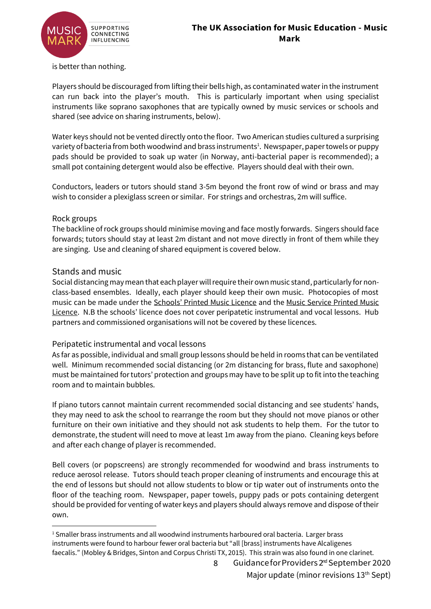

is better than nothing.

Players should be discouraged from lifting their bells high, as contaminated water in the instrument can run back into the player's mouth. This is particularly important when using specialist instruments like soprano saxophones that are typically owned by music services or schools and shared (see advice on sharing instruments, below).

Water keys should not be vented directly onto the floor. Two American studies cultured a surprising variety of bacteria from both woodwind and brass instruments<sup>1</sup>. Newspaper, paper towels or puppy pads should be provided to soak up water (in Norway, anti-bacterial paper is recommended); a small pot containing detergent would also be effective. Players should deal with their own.

Conductors, leaders or tutors should stand 3-5m beyond the front row of wind or brass and may wish to consider a plexiglass screen or similar. For strings and orchestras, 2m will suffice.

#### Rock groups

The backline of rock groups should minimise moving and face mostly forwards. Singers should face forwards; tutors should stay at least 2m distant and not move directly in front of them while they are singing. Use and cleaning of shared equipment is covered below.

#### Stands and music

Social distancing may mean that each player will require their own music stand, particularly for nonclass-based ensembles. Ideally, each player should keep their own music. Photocopies of most music can be made under the [Schools' Printed Music Licence](https://cla.co.uk/schools-printed-music-licence) and the [Music Service Printed Music](https://www.printmusiclicensing.co.uk/licences/music-service-licence/)  [Licence](https://www.printmusiclicensing.co.uk/licences/music-service-licence/). N.B the schools' licence does not cover peripatetic instrumental and vocal lessons. Hub partners and commissioned organisations will not be covered by these licences.

#### Peripatetic instrumental and vocal lessons

As far as possible, individual and small group lessons should be held in rooms that can be ventilated well. Minimum recommended social distancing (or 2m distancing for brass, flute and saxophone) must be maintained for tutors' protection and groups may have to be split up to fit into the teaching room and to maintain bubbles.

If piano tutors cannot maintain current recommended social distancing and see students' hands, they may need to ask the school to rearrange the room but they should not move pianos or other furniture on their own initiative and they should not ask students to help them. For the tutor to demonstrate, the student will need to move at least 1m away from the piano. Cleaning keys before and after each change of player is recommended.

Bell covers (or popscreens) are strongly recommended for woodwind and brass instruments to reduce aerosol release. Tutors should teach proper cleaning of instruments and encourage this at the end of lessons but should not allow students to blow or tip water out of instruments onto the floor of the teaching room. Newspaper, paper towels, puppy pads or pots containing detergent should be provided for venting of water keys and players should always remove and dispose of their own.

 $1$  Smaller brass instruments and all woodwind instruments harboured oral bacteria. Larger brass instruments were found to harbour fewer oral bacteria but "all [brass] instruments have Alcaligenes faecalis." (Mobley & Bridges, Sinton and Corpus Christi TX, 2015). This strain was also found in one clarinet.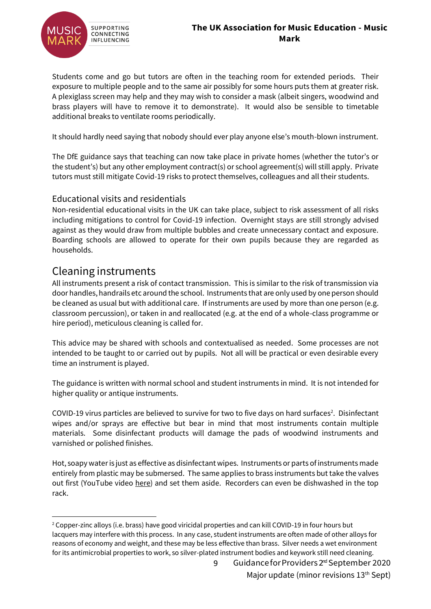



Students come and go but tutors are often in the teaching room for extended periods. Their exposure to multiple people and to the same air possibly for some hours puts them at greater risk. A plexiglass screen may help and they may wish to consider a mask (albeit singers, woodwind and brass players will have to remove it to demonstrate). It would also be sensible to timetable additional breaks to ventilate rooms periodically.

It should hardly need saying that nobody should ever play anyone else's mouth-blown instrument.

The DfE guidance says that teaching can now take place in private homes (whether the tutor's or the student's) but any other employment contract(s) or school agreement(s) will still apply. Private tutors must still mitigate Covid-19 risks to protect themselves, colleagues and all their students.

#### Educational visits and residentials

Non-residential educational visits in the UK can take place, subject to risk assessment of all risks including mitigations to control for Covid-19 infection. Overnight stays are still strongly advised against as they would draw from multiple bubbles and create unnecessary contact and exposure. Boarding schools are allowed to operate for their own pupils because they are regarded as households.

### Cleaning instruments

All instruments present a risk of contact transmission. This is similar to the risk of transmission via door handles, handrails etc around the school. Instruments that are only used by one person should be cleaned as usual but with additional care. If instruments are used by more than one person (e.g. classroom percussion), or taken in and reallocated (e.g. at the end of a whole-class programme or hire period), meticulous cleaning is called for.

This advice may be shared with schools and contextualised as needed. Some processes are not intended to be taught to or carried out by pupils. Not all will be practical or even desirable every time an instrument is played.

The guidance is written with normal school and student instruments in mind. It is not intended for higher quality or antique instruments.

COVID-19 virus particles are believed to survive for two to five days on hard surfaces<sup>2</sup>. Disinfectant wipes and/or sprays are effective but bear in mind that most instruments contain multiple materials. Some disinfectant products will damage the pads of woodwind instruments and varnished or polished finishes.

Hot, soapy water is just as effective as disinfectant wipes. Instruments or parts of instruments made entirely from plastic may be submersed. The same applies to brass instruments but take the valves out first (YouTube video [here\)](https://www.youtube.com/watch?v=i4T8XlsDfyA) and set them aside. Recorders can even be dishwashed in the top rack.

<sup>&</sup>lt;sup>2</sup> Copper-zinc alloys (i.e. brass) have good viricidal properties and can kill COVID-19 in four hours but lacquers may interfere with this process. In any case, student instruments are often made of other alloys for reasons of economy and weight, and these may be less effective than brass. Silver needs a wet environment for its antimicrobial properties to work, so silver-plated instrument bodies and keywork still need cleaning.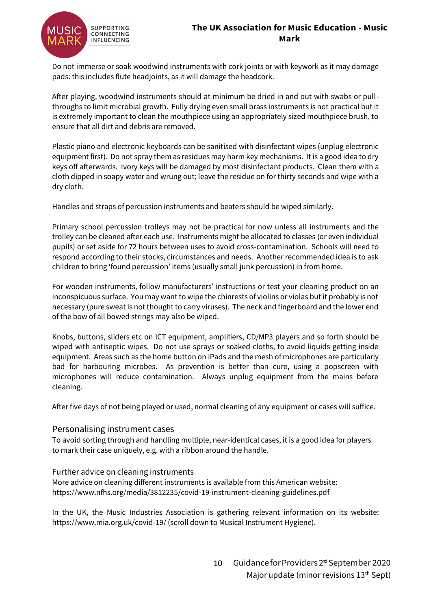

Do not immerse or soak woodwind instruments with cork joints or with keywork as it may damage pads: this includes flute headjoints, as it will damage the headcork.

After playing, woodwind instruments should at minimum be dried in and out with swabs or pullthroughs to limit microbial growth. Fully drying even small brass instruments is not practical but it is extremely important to clean the mouthpiece using an appropriately sized mouthpiece brush, to ensure that all dirt and debris are removed.

Plastic piano and electronic keyboards can be sanitised with disinfectant wipes (unplug electronic equipment first). Do not spray them as residues may harm key mechanisms. It is a good idea to dry keys off afterwards. Ivory keys will be damaged by most disinfectant products. Clean them with a cloth dipped in soapy water and wrung out; leave the residue on for thirty seconds and wipe with a dry cloth.

Handles and straps of percussion instruments and beaters should be wiped similarly.

Primary school percussion trolleys may not be practical for now unless all instruments and the trolley can be cleaned after each use. Instruments might be allocated to classes (or even individual pupils) or set aside for 72 hours between uses to avoid cross-contamination. Schools will need to respond according to their stocks, circumstances and needs. Another recommended idea is to ask children to bring 'found percussion' items (usually small junk percussion) in from home.

For wooden instruments, follow manufacturers' instructions or test your cleaning product on an inconspicuous surface. You may want to wipe the chinrests of violins or violas but it probably is not necessary (pure sweat is not thought to carry viruses). The neck and fingerboard and the lower end of the bow of all bowed strings may also be wiped.

Knobs, buttons, sliders etc on ICT equipment, amplifiers, CD/MP3 players and so forth should be wiped with antiseptic wipes. Do not use sprays or soaked cloths, to avoid liquids getting inside equipment. Areas such as the home button on iPads and the mesh of microphones are particularly bad for harbouring microbes. As prevention is better than cure, using a popscreen with microphones will reduce contamination. Always unplug equipment from the mains before cleaning.

After five days of not being played or used, normal cleaning of any equipment or cases will suffice.

#### Personalising instrument cases

To avoid sorting through and handling multiple, near-identical cases, it is a good idea for players to mark their case uniquely, e.g. with a ribbon around the handle.

#### Further advice on cleaning instruments

More advice on cleaning different instruments is available from this American website: <https://www.nfhs.org/media/3812235/covid-19-instrument-cleaning-guidelines.pdf>

In the UK, the Music Industries Association is gathering relevant information on its website: <https://www.mia.org.uk/covid-19/> (scroll down to Musical Instrument Hygiene).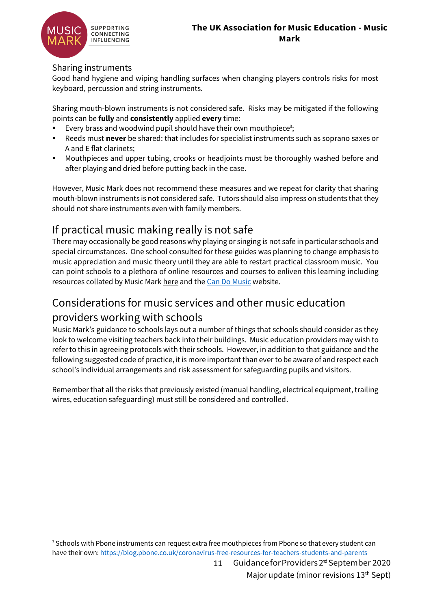

#### Sharing instruments

Good hand hygiene and wiping handling surfaces when changing players controls risks for most keyboard, percussion and string instruments.

Sharing mouth-blown instruments is not considered safe. Risks may be mitigated if the following points can be **fully** and **consistently** applied **every** time:

- Every brass and woodwind pupil should have their own mouthpiece<sup>3</sup>;
- Reeds must **never** be shared: that includes for specialist instruments such as soprano saxes or A and E flat clarinets;
- Mouthpieces and upper tubing, crooks or headjoints must be thoroughly washed before and after playing and dried before putting back in the case.

However, Music Mark does not recommend these measures and we repeat for clarity that sharing mouth-blown instruments is not considered safe. Tutors should also impress on students that they should not share instruments even with family members.

### If practical music making really is not safe

There may occasionally be good reasons why playing or singing is not safe in particular schools and special circumstances. One school consulted for these guides was planning to change emphasis to music appreciation and music theory until they are able to restart practical classroom music. You can point schools to a plethora of online resources and courses to enliven this learning including resources collated by Music Mar[k here](https://www.musicmark.org.uk/resources/home-learning-resources/) and th[e Can Do Music](http://www.candomusic.org/) website.

### Considerations for music services and other music education providers working with schools

Music Mark's guidance to schools lays out a number of things that schools should consider as they look to welcome visiting teachers back into their buildings. Music education providers may wish to refer to this in agreeing protocols with their schools. However, in addition to that guidance and the following suggested code of practice, it is more important than ever to be aware of and respect each school's individual arrangements and risk assessment for safeguarding pupils and visitors.

Remember that all the risks that previously existed (manual handling, electrical equipment, trailing wires, education safeguarding) must still be considered and controlled.

<sup>&</sup>lt;sup>3</sup> Schools with Pbone instruments can request extra free mouthpieces from Pbone so that every student can have their own[: https://blog.pbone.co.uk/coronavirus-free-resources-for-teachers-students-and-parents](https://blog.pbone.co.uk/coronavirus-free-resources-for-teachers-students-and-parents)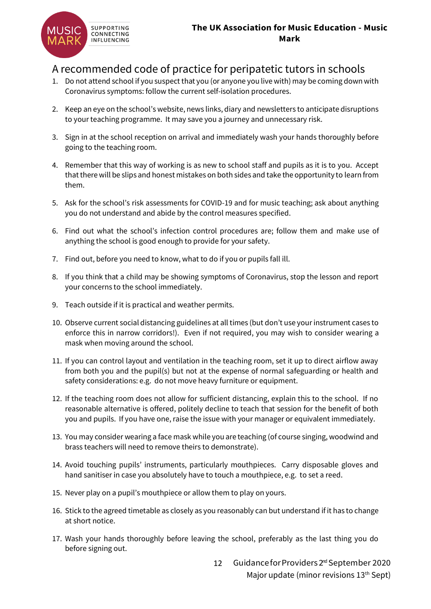

### A recommended code of practice for peripatetic tutors in schools

- 1. Do not attend school if you suspect that you (or anyone you live with) may be coming down with Coronavirus symptoms: follow the current self-isolation procedures.
- 2. Keep an eye on the school's website, news links, diary and newsletters to anticipate disruptions to your teaching programme. It may save you a journey and unnecessary risk.
- 3. Sign in at the school reception on arrival and immediately wash your hands thoroughly before going to the teaching room.
- 4. Remember that this way of working is as new to school staff and pupils as it is to you. Accept that there will be slips and honest mistakes on both sides and take the opportunity to learn from them.
- 5. Ask for the school's risk assessments for COVID-19 and for music teaching; ask about anything you do not understand and abide by the control measures specified.
- 6. Find out what the school's infection control procedures are; follow them and make use of anything the school is good enough to provide for your safety.
- 7. Find out, before you need to know, what to do if you or pupils fall ill.
- 8. If you think that a child may be showing symptoms of Coronavirus, stop the lesson and report your concerns to the school immediately.
- 9. Teach outside if it is practical and weather permits.
- 10. Observe current social distancing guidelines at all times (but don't use your instrument cases to enforce this in narrow corridors!). Even if not required, you may wish to consider wearing a mask when moving around the school.
- 11. If you can control layout and ventilation in the teaching room, set it up to direct airflow away from both you and the pupil(s) but not at the expense of normal safeguarding or health and safety considerations: e.g. do not move heavy furniture or equipment.
- 12. If the teaching room does not allow for sufficient distancing, explain this to the school. If no reasonable alternative is offered, politely decline to teach that session for the benefit of both you and pupils. If you have one, raise the issue with your manager or equivalent immediately.
- 13. You may consider wearing a face mask while you are teaching (of course singing, woodwind and brass teachers will need to remove theirs to demonstrate).
- 14. Avoid touching pupils' instruments, particularly mouthpieces. Carry disposable gloves and hand sanitiser in case you absolutely have to touch a mouthpiece, e.g. to set a reed.
- 15. Never play on a pupil's mouthpiece or allow them to play on yours.
- 16. Stick to the agreed timetable as closely as you reasonably can but understand if it has to change at short notice.
- 17. Wash your hands thoroughly before leaving the school, preferably as the last thing you do before signing out.
	- 12 Guidance for Providers 2<sup>rd</sup> September 2020 Major update (minor revisions 13<sup>th</sup> Sept)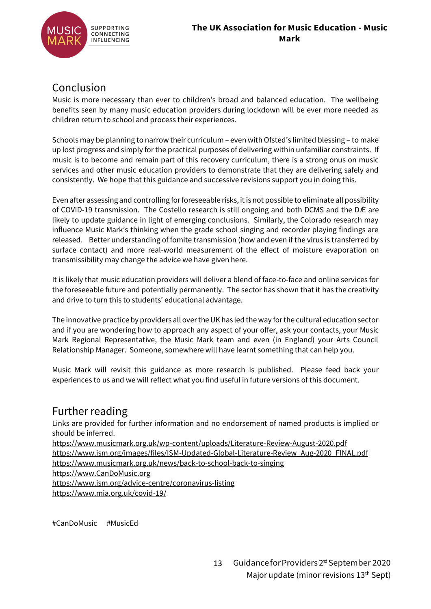

### Conclusion

Music is more necessary than ever to children's broad and balanced education. The wellbeing benefits seen by many music education providers during lockdown will be ever more needed as children return to school and process their experiences.

Schools may be planning to narrow their curriculum – even with Ofsted's limited blessing – to make up lost progress and simply for the practical purposes of delivering within unfamiliar constraints. If music is to become and remain part of this recovery curriculum, there is a strong onus on music services and other music education providers to demonstrate that they are delivering safely and consistently. We hope that this guidance and successive revisions support you in doing this.

Even after assessing and controlling for foreseeable risks, it is not possible to eliminate all possibility of COVID-19 transmission. The Costello research is still ongoing and both DCMS and the DÆ are likely to update guidance in light of emerging conclusions. Similarly, the Colorado research may influence Music Mark's thinking when the grade school singing and recorder playing findings are released. Better understanding of fomite transmission (how and even if the virus is transferred by surface contact) and more real-world measurement of the effect of moisture evaporation on transmissibility may change the advice we have given here.

It is likely that music education providers will deliver a blend of face-to-face and online services for the foreseeable future and potentially permanently. The sector has shown that it has the creativity and drive to turn this to students' educational advantage.

The innovative practice by providers all over the UK has led the way for the cultural education sector and if you are wondering how to approach any aspect of your offer, ask your contacts, your Music Mark Regional Representative, the Music Mark team and even (in England) your Arts Council Relationship Manager. Someone, somewhere will have learnt something that can help you.

Music Mark will revisit this guidance as more research is published. Please feed back your experiences to us and we will reflect what you find useful in future versions of this document.

### Further reading

Links are provided for further information and no endorsement of named products is implied or should be inferred.

<https://www.musicmark.org.uk/wp-content/uploads/Literature-Review-August-2020.pdf> [https://www.ism.org/images/files/ISM-Updated-Global-Literature-Review\\_Aug-2020\\_FINAL.pdf](https://www.ism.org/images/files/ISM-Updated-Global-Literature-Review_Aug-2020_FINAL.pdf) <https://www.musicmark.org.uk/news/back-to-school-back-to-singing>

[https://www.CanDoMusic.org](https://www.candomusic.org/)

<https://www.ism.org/advice-centre/coronavirus-listing>

<https://www.mia.org.uk/covid-19/>

#CanDoMusic #MusicEd